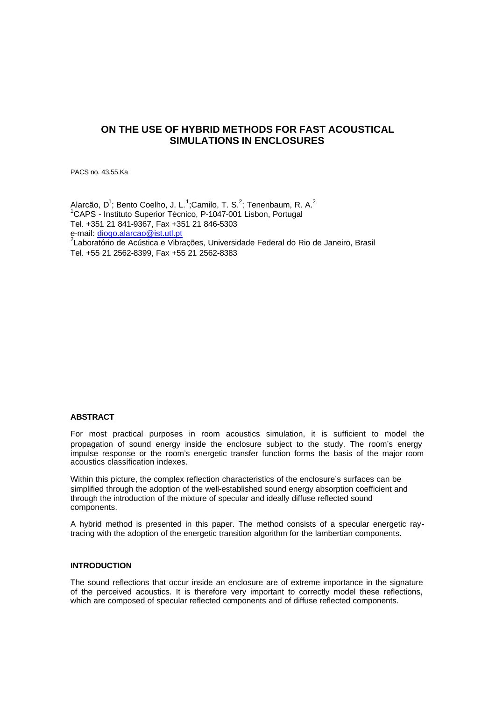# **ON THE USE OF HYBRID METHODS FOR FAST ACOUSTICAL SIMULATIONS IN ENCLOSURES**

PACS no. 43.55.Ka

Alarcão, D<sup>1</sup>; Bento Coelho, J. L.<sup>1</sup>;Camilo, T. S.<sup>2</sup>; Tenenbaum, R. A.<sup>2</sup> <sup>1</sup>CAPS - Instituto Superior Técnico, P-1047-001 Lisbon, Portugal Tel. +351 21 841-9367, Fax +351 21 846-5303 e-mail: diogo.alarcao@ist.utl.pt <sup>2</sup> Laboratório de Acústica e Vibrações, Universidade Federal do Rio de Janeiro, Brasil Tel. +55 21 2562-8399, Fax +55 21 2562-8383

# **ABSTRACT**

For most practical purposes in room acoustics simulation, it is sufficient to model the propagation of sound energy inside the enclosure subject to the study. The room's energy impulse response or the room's energetic transfer function forms the basis of the major room acoustics classification indexes.

Within this picture, the complex reflection characteristics of the enclosure's surfaces can be simplified through the adoption of the well-established sound energy absorption coefficient and through the introduction of the mixture of specular and ideally diffuse reflected sound components.

A hybrid method is presented in this paper. The method consists of a specular energetic raytracing with the adoption of the energetic transition algorithm for the lambertian components.

# **INTRODUCTION**

The sound reflections that occur inside an enclosure are of extreme importance in the signature of the perceived acoustics. It is therefore very important to correctly model these reflections, which are composed of specular reflected components and of diffuse reflected components.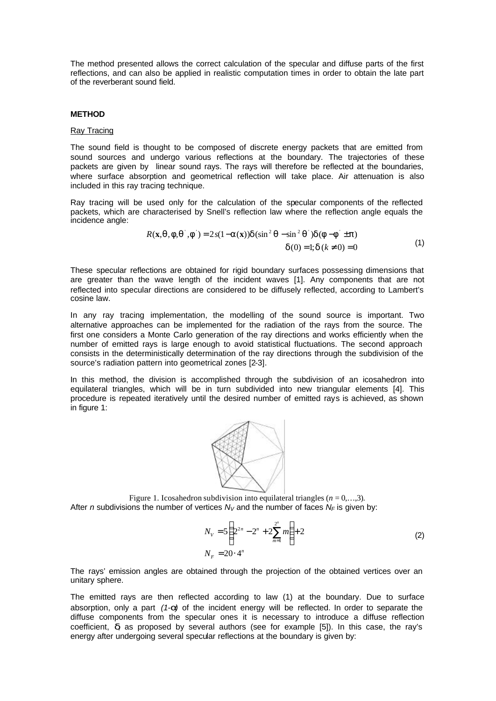The method presented allows the correct calculation of the specular and diffuse parts of the first reflections, and can also be applied in realistic computation times in order to obtain the late part of the reverberant sound field.

# **METHOD**

### Ray Tracing

The sound field is thought to be composed of discrete energy packets that are emitted from sound sources and undergo various reflections at the boundary. The trajectories of these packets are given by linear sound rays. The rays will therefore be reflected at the boundaries, where surface absorption and geometrical reflection will take place. Air attenuation is also included in this ray tracing technique.

Ray tracing will be used only for the calculation of the specular components of the reflected packets, which are characterised by Snell's reflection law where the reflection angle equals the incidence angle:

$$
R(\mathbf{x}, \mathbf{q}, \mathbf{f}, \mathbf{q}^{\top}, \mathbf{f}^{\top}) = 2s(1 - \mathbf{a}(\mathbf{x}))\mathbf{d}(\sin^2 \mathbf{q} - \sin^2 \mathbf{q}^{\top})\mathbf{d}(\mathbf{f} - \mathbf{f}^{\top} \pm \mathbf{p})
$$
  

$$
\mathbf{d}(0) = 1; \mathbf{d}(k \neq 0) = 0
$$
 (1)

These specular reflections are obtained for rigid boundary surfaces possessing dimensions that are greater than the wave length of the incident waves [1]. Any components that are not reflected into specular directions are considered to be diffusely reflected, according to Lambert's cosine law.

In any ray tracing implementation, the modelling of the sound source is important. Two alternative approaches can be implemented for the radiation of the rays from the source. The first one considers a Monte Carlo generation of the ray directions and works efficiently when the number of emitted rays is large enough to avoid statistical fluctuations. The second approach consists in the deterministically determination of the ray directions through the subdivision of the source's radiation pattern into geometrical zones [2-3].

In this method, the division is accomplished through the subdivision of an icosahedron into equilateral triangles, which will be in turn subdivided into new triangular elements [4]. This procedure is repeated iteratively until the desired number of emitted rays is achieved, as shown in figure 1:



Figure 1. Icosahedron subdivision into equilateral triangles  $(n = 0, \ldots, 3)$ . After *n* subdivisions the number of vertices  $N_V$  and the number of faces  $N_F$  is given by:

$$
N_V = 5\left(2^{2n} - 2^n + 2\sum_{m=1}^{2^n} m\right) + 2
$$
  
\n
$$
N_F = 20 \cdot 4^n
$$
\n(2)

The rays' emission angles are obtained through the projection of the obtained vertices over an unitary sphere.

The emitted rays are then reflected according to law (1) at the boundary. Due to surface absorption, only a part *(1-a)* of the incident energy will be reflected. In order to separate the diffuse components from the specular ones it is necessary to introduce a diffuse reflection coefficient, *d*, as proposed by several authors (see for example [5]). In this case, the ray's energy after undergoing several specular reflections at the boundary is given by: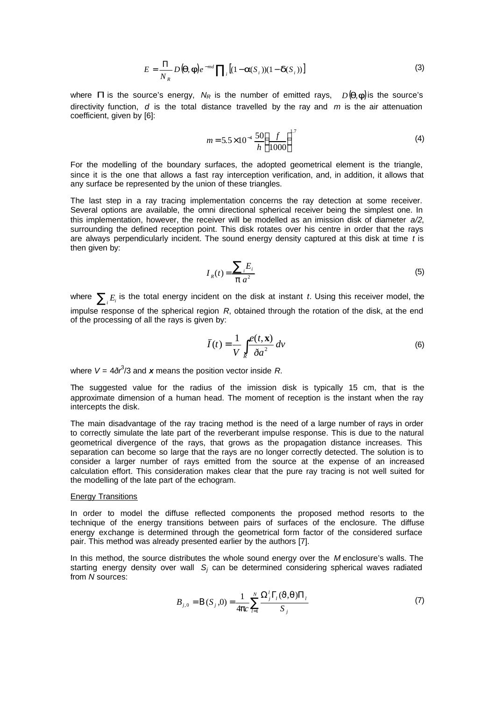$$
E = \frac{\Pi}{N_R} D(\boldsymbol{q}, \boldsymbol{f}) e^{-md} \prod_i \left[ (1 - \boldsymbol{a}(S_i)) (1 - \boldsymbol{d}(S_i)) \right]
$$
(3)

where **P** is the source's energy,  $N_R$  is the number of emitted rays,  $D(q, f)$  is the source's directivity function, *d* is the total distance travelled by the ray and *m* is the air attenuation coefficient, given by [6]:

$$
m = 5.5 \times 10^{-4} \frac{50}{h} \left(\frac{f}{1000}\right)^{1.7}
$$
 (4)

For the modelling of the boundary surfaces, the adopted geometrical element is the triangle, since it is the one that allows a fast ray interception verification, and, in addition, it allows that any surface be represented by the union of these triangles.

The last step in a ray tracing implementation concerns the ray detection at some receiver. Several options are available, the omni directional spherical receiver being the simplest one. In this implementation, however, the receiver will be modelled as an imission disk of diameter *a/2*, surrounding the defined reception point. This disk rotates over his centre in order that the rays are always perpendicularly incident. The sound energy density captured at this disk at time *t* is then given by:

$$
I_R(t) = \frac{\sum_i E_i}{\mathbf{p} a^2} \tag{5}
$$

where  $\sum_i E_i$  is the total energy incident on the disk at instant *t*. Using this receiver model, the impulse response of the spherical region *R*, obtained through the rotation of the disk, at the end of the processing of all the rays is given by:

$$
\bar{I}(t) = \frac{1}{V} \int_{R} \frac{e(t, \mathbf{x})}{\delta a^2} dv
$$
\n(6)

where  $V = 4\delta r^3/3$  and x means the position vector inside R.

The suggested value for the radius of the imission disk is typically 15 cm, that is the approximate dimension of a human head. The moment of reception is the instant when the ray intercepts the disk.

The main disadvantage of the ray tracing method is the need of a large number of rays in order to correctly simulate the late part of the reverberant impulse response. This is due to the natural geometrical divergence of the rays, that grows as the propagation distance increases. This separation can become so large that the rays are no longer correctly detected. The solution is to consider a larger number of rays emitted from the source at the expense of an increased calculation effort. This consideration makes clear that the pure ray tracing is not well suited for the modelling of the late part of the echogram.

### Energy Transitions

In order to model the diffuse reflected components the proposed method resorts to the technique of the energy transitions between pairs of surfaces of the enclosure. The diffuse energy exchange is determined through the geometrical form factor of the considered surface pair. This method was already presented earlier by the authors [7].

In this method, the source distributes the whole sound energy over the *M* enclosure's walls. The starting energy density over wall *S<sup>j</sup>* can be determined considering spherical waves radiated from *N* sources:

$$
B_{j,0} = B(S_j,0) = \frac{1}{4pc} \sum_{l=1}^{N} \frac{\Omega_j^l \Gamma_l (J,q) \Pi_l}{S_j}
$$
(7)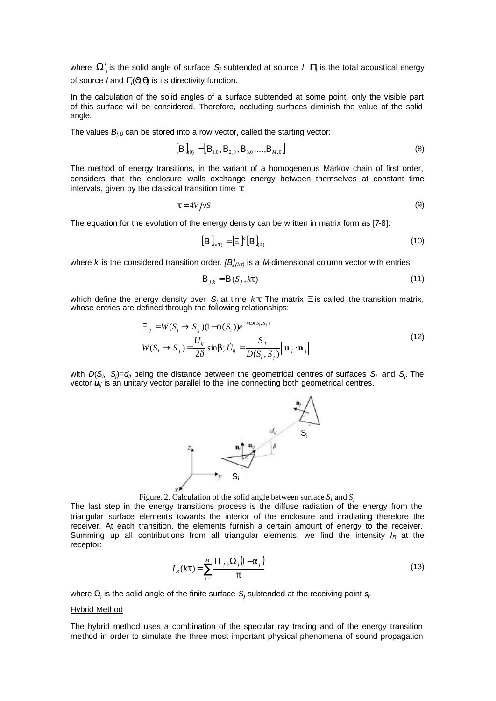where  $\bm{\Omega}_j^l$  is the solid angle of surface  $\bm{\mathcal{S}}_j$  subtended at source *l*,  $\bm{P}$  is the total acoustical energy of source *l* and *Gl*(*J,q*) is its directivity function.

In the calculation of the solid angles of a surface subtended at some point, only the visible part of this surface will be considered. Therefore, occluding surfaces diminish the value of the solid angle.

The values *Bj,0* can be stored into a row vector, called the starting vector:

$$
[\boldsymbol{B}]_{(0)} = [\boldsymbol{B}_{1,0}, \boldsymbol{B}_{2,0}, \boldsymbol{B}_{3,0}, \dots, \boldsymbol{B}_{M,0}]
$$
\n(8)

The method of energy transitions, in the variant of a homogeneous Markov chain of first order, considers that the enclosure walls exchange energy between themselves at constant time intervals, given by the classical transition time *t*:

$$
t = 4V/vS \tag{9}
$$

The equation for the evolution of the energy density can be written in matrix form as [7-8]:

$$
\left[\mathbf{B}\right]_{(kt)} = \left[\Xi\right]^k \left[\mathbf{B}\right]_{(0)}\tag{10}
$$

where *k* is the considered transition order. *[B](kt)* is a *M*-dimensional column vector with entries

$$
\boldsymbol{B}_{j,k} = \boldsymbol{B}(S_j, k\boldsymbol{t})\tag{11}
$$

which define the energy density over  $S_j$  at time  $k\,t$ . The matrix  $\boldsymbol{X}$  is called the transition matrix, whose entries are defined through the following relationships:

$$
\begin{aligned} \Xi_{ij} &= W(S_i \to S_j)(1 - \mathbf{a}(S_i))e^{-mD(S_i, S_j)}\\ W(S_i \to S_j) &= \frac{\dot{U}_{ij}}{2\delta} \sinh; \dot{U}_{ij} = \frac{S_j}{D(S_i, S_j)} \left| \mathbf{u}_{ij} \cdot \mathbf{n}_j \right| \end{aligned} \tag{12}
$$

with  $D(S_i, S_j) = d_{ij}$  being the distance between the geometrical centres of surfaces  $S_i$  and  $S_j$ . The vector  $u_{ij}$  is an unitary vector parallel to the line connecting both geometrical centres.



Figure. 2. Calculation of the solid angle between surface  $S_i$  and  $S_j$ 

The last step in the energy transitions process is the diffuse radiation of the energy from the triangular surface elements towards the interior of the enclosure and irradiating therefore the receiver. At each transition, the elements furnish a certain amount of energy to the receiver. Summing up all contributions from all triangular elements, we find the intensity *IR* at the receptor:

$$
I_R(kt) = \sum_{j=1}^{M} \frac{P_{j,k} \Omega_j (1-a_j)}{p}
$$
 (13)

where Ω<sub>j</sub> is the solid angle of the finite surface S<sub>*j*</sub> subtended at the receiving point s<sub>*i*</sub>

#### Hybrid Method

The hybrid method uses a combination of the specular ray tracing and of the energy transition method in order to simulate the three most important physical phenomena of sound propagation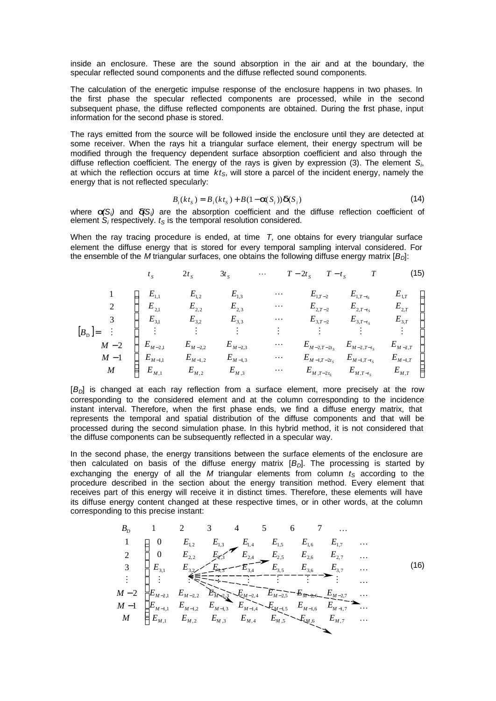inside an enclosure. These are the sound absorption in the air and at the boundary, the specular reflected sound components and the diffuse reflected sound components.

The calculation of the energetic impulse response of the enclosure happens in two phases. In the first phase the specular reflected components are processed, while in the second subsequent phase, the diffuse reflected components are obtained. During the first phase, input information for the second phase is stored.

The rays emitted from the source will be followed inside the enclosure until they are detected at some receiver. When the rays hit a triangular surface element, their energy spectrum will be modified through the frequency dependent surface absorption coefficient and also through the diffuse reflection coefficient. The energy of the rays is given by expression (3). The element *S<sup>i</sup>* , at which the reflection occurs at time *ktS*, will store a parcel of the incident energy, namely the energy that is not reflected specularly:

$$
B_i(ktS) = B_i(ktS) + B(1 - \mathbf{a}(S_i))\mathbf{d}(S_i)
$$
\n(14)

where  $a(S_i)$  and  $d(S_i)$  are the absorption coefficient and the diffuse reflection coefficient of element *S<sup>i</sup>* respectively. *tS* is the temporal resolution considered.

When the ray tracing procedure is ended, at time *T*, one obtains for every triangular surface element the diffuse energy that is stored for every temporal sampling interval considered. For the ensemble of the *M* triangular surfaces, one obtains the following diffuse energy matrix [*BD*]:

| $t_s$ | $2t_s$                                                                                                                                                                                                                                                                                                                                                                                                                                                                                                                                                                                                                            | $3t_s$ | ... | $T - 2t_s$ | $T - t_s$ | $T$ | (15) |
|-------|-----------------------------------------------------------------------------------------------------------------------------------------------------------------------------------------------------------------------------------------------------------------------------------------------------------------------------------------------------------------------------------------------------------------------------------------------------------------------------------------------------------------------------------------------------------------------------------------------------------------------------------|--------|-----|------------|-----------|-----|------|
| 1     | \n $\begin{bmatrix}\nE_{1,1} & E_{1,2} & E_{1,3} & \cdots & E_{1,T-2} & E_{1,T-t_s} & E_{1,T} \\ E_{2,1} & E_{2,2} & E_{2,3} & \cdots & E_{2,T-2} & E_{2,T-t_s} & E_{2,T} \\ E_{3,1} & E_{3,2} & E_{3,3} & \cdots & E_{3,T-2} & E_{3,T-t_s} & E_{3,T} \\ \vdots & \vdots & \vdots & \vdots & \vdots & \vdots & \vdots \\ M - 2 & E_{M-2,1} & E_{M-2,2} & E_{M-2,3} & \cdots & E_{M-2,T-2t_s} & E_{M-2,T-t_s} & E_{M-2,T} \\ M - 1 & E_{M-1,1} & E_{M-1,2} & E_{M-1,3} & \cdots & E_{M-1,T-2t_s} & E_{M-1,T-t_s} & E_{M-1,T} \\ M & E_{M,1} & E_{M,2} & E_{M,3} & \cdots & E_{M,T-2t_s} & E_{M,T-t_s} & E_{M,T}\n\end{bmatrix}$ \n |        |     |            |           |     |      |

[*BD*] is changed at each ray reflection from a surface element, more precisely at the row corresponding to the considered element and at the column corresponding to the incidence instant interval. Therefore, when the first phase ends, we find a diffuse energy matrix, that represents the temporal and spatial distribution of the diffuse components and that will be processed during the second simulation phase. In this hybrid method, it is not considered that the diffuse components can be subsequently reflected in a specular way.

In the second phase, the energy transitions between the surface elements of the enclosure are then calculated on basis of the diffuse energy matrix [*BD*]. The processing is started by exchanging the energy of all the *M* triangular elements from column  $t<sub>S</sub>$  according to the procedure described in the section about the energy transition method. Every element that receives part of this energy will receive it in distinct times. Therefore, these elements will have its diffuse energy content changed at these respective times, or in other words, at the column corresponding to this precise instant:

$$
B_{D} \t 1 \t 2 \t 3 \t 4 \t 5 \t 6 \t 7 \t ...
$$
\n
$$
1 \t 1 \t 0 \t E_{1,2} \t E_{1,3} \t E_{1,4} \t E_{1,5} \t E_{1,6} \t E_{1,7} \t ...
$$
\n
$$
2 \t 0 \t E_{2,2} \t E_{2,3} \t E_{2,4} \t E_{2,5} \t E_{2,6} \t E_{2,7} \t ...
$$
\n
$$
3 \t E_{3,1} \t E_{3,2} \t E_{3,5} \t E_{3,4} \t E_{3,5} \t E_{3,6} \t E_{3,7} \t ...
$$
\n
$$
5 \t E_{3,6} \t E_{3,7} \t ...
$$
\n
$$
5 \t E_{3,6} \t E_{3,7} \t ...
$$
\n
$$
6 \t E_{3,7} \t ...
$$
\n
$$
6 \t E_{3,1} \t E_{3,2} \t E_{3,3} \t E_{3,4} \t E_{3,5} \t E_{3,6} \t E_{3,7} \t ...
$$
\n
$$
6 \t E_{3,7} \t ...
$$
\n
$$
6 \t E_{3,8} \t E_{3,9} \t E_{3,1} \t ...
$$
\n
$$
6 \t E_{3,1} \t E_{3,2} \t E_{3,3} \t E_{3,4} \t E_{3,5} \t E_{3,6} \t E_{3,7} \t ...
$$
\n
$$
6 \t E_{3,7} \t ...
$$
\n
$$
6 \t E_{3,8} \t E_{3,9} \t E_{3,9} \t ...
$$
\n
$$
6 \t E_{3,9} \t E_{3,9} \t ...
$$
\n
$$
6 \t E_{3,1} \t E_{3,2} \t E_{3,3} \t E_{3,4} \t E_{3,5} \t E_{3,6} \t E_{3,7} \t ...
$$
\n
$$
6 \t E_{3,7} \t ...
$$
\n
$$
6 \t E_{3,7} \t ...
$$
\n
$$
6 \t E_{3,8} \t E_{3,9} \t E_{3
$$